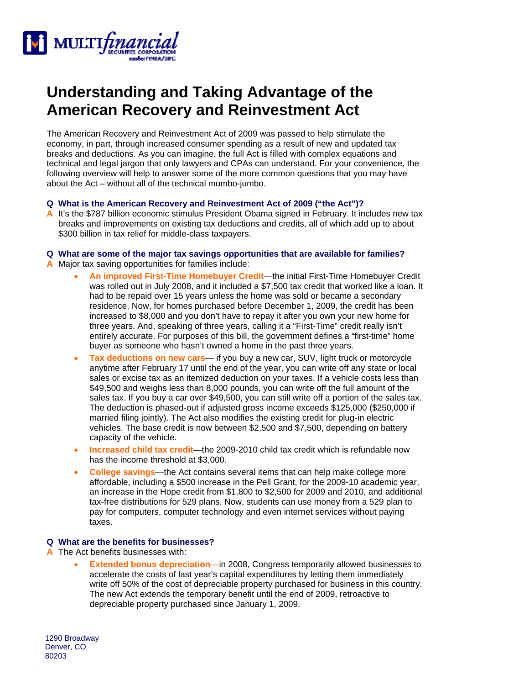

# **Understanding and Taking Advantage of the American Recovery and Reinvestment Act**

The American Recovery and Reinvestment Act of 2009 was passed to help stimulate the economy, in part, through increased consumer spending as a result of new and updated tax breaks and deductions. As you can imagine, the full Act is filled with complex equations and technical and legal jargon that only lawyers and CPAs can understand. For your convenience, the following overview will help to answer some of the more common questions that you may have about the Act – without all of the technical mumbo-jumbo.

#### **Q What is the American Recovery and Reinvestment Act of 2009 ("the Act")?**

**A** It's the \$787 billion economic stimulus President Obama signed in February. It includes new tax breaks and improvements on existing tax deductions and credits, all of which add up to about \$300 billion in tax relief for middle-class taxpayers.

## **Q What are some of the major tax savings opportunities that are available for families?**

- **A** Major tax saving opportunities for families include:
	- **An improved First-Time Homebuyer Credit**—the initial First-Time Homebuyer Credit was rolled out in July 2008, and it included a \$7,500 tax credit that worked like a loan. It had to be repaid over 15 years unless the home was sold or became a secondary residence. Now, for homes purchased before December 1, 2009, the credit has been increased to \$8,000 and you don't have to repay it after you own your new home for three years. And, speaking of three years, calling it a "First-Time" credit really isn't entirely accurate. For purposes of this bill, the government defines a "first-time" home buyer as someone who hasn't owned a home in the past three years.
	- **Tax deductions on new cars** if you buy a new car, SUV, light truck or motorcycle anytime after February 17 until the end of the year, you can write off any state or local sales or excise tax as an itemized deduction on your taxes. If a vehicle costs less than \$49,500 and weighs less than 8,000 pounds, you can write off the full amount of the sales tax. If you buy a car over \$49,500, you can still write off a portion of the sales tax. The deduction is phased-out if adjusted gross income exceeds \$125,000 (\$250,000 if married filing jointly). The Act also modifies the existing credit for plug-in electric vehicles. The base credit is now between \$2,500 and \$7,500, depending on battery capacity of the vehicle.
	- **Increased child tax credit**—the 2009-2010 child tax credit which is refundable now has the income threshold at \$3,000.
	- **College savings**—the Act contains several items that can help make college more affordable, including a \$500 increase in the Pell Grant, for the 2009-10 academic year, an increase in the Hope credit from \$1,800 to \$2,500 for 2009 and 2010, and additional tax-free distributions for 529 plans. Now, students can use money from a 529 plan to pay for computers, computer technology and even internet services without paying taxes.

## **Q What are the benefits for businesses?**

- **A** The Act benefits businesses with:
	- **Extended bonus depreciation**—in 2008, Congress temporarily allowed businesses to accelerate the costs of last year's capital expenditures by letting them immediately write off 50% of the cost of depreciable property purchased for business in this country. The new Act extends the temporary benefit until the end of 2009, retroactive to depreciable property purchased since January 1, 2009.

1290 Broadway Denver, CO 80203